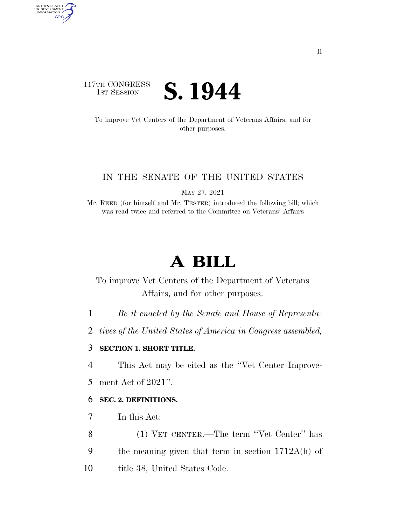### 117TH CONGRESS **1ST SESSION S. 1944**

AUTHENTICATED<br>U.S. GOVERNMENT<br>INFORMATION

**GPO** 

To improve Vet Centers of the Department of Veterans Affairs, and for other purposes.

#### IN THE SENATE OF THE UNITED STATES

MAY 27, 2021

Mr. REED (for himself and Mr. TESTER) introduced the following bill; which was read twice and referred to the Committee on Veterans' Affairs

# **A BILL**

To improve Vet Centers of the Department of Veterans Affairs, and for other purposes.

1 *Be it enacted by the Senate and House of Representa-*

2 *tives of the United States of America in Congress assembled,* 

#### 3 **SECTION 1. SHORT TITLE.**

4 This Act may be cited as the ''Vet Center Improve-

5 ment Act of 2021''.

#### 6 **SEC. 2. DEFINITIONS.**

7 In this Act:

8 (1) VET CENTER.—The term ''Vet Center'' has

9 the meaning given that term in section 1712A(h) of

10 title 38, United States Code.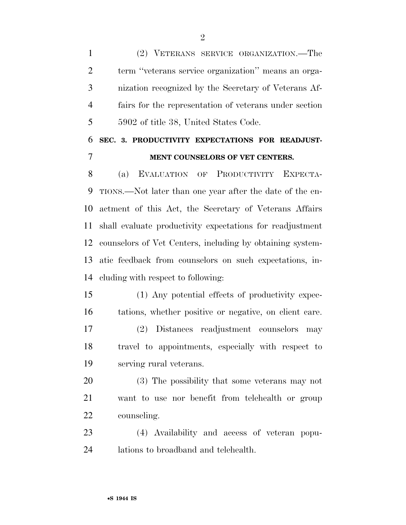(2) VETERANS SERVICE ORGANIZATION.—The term ''veterans service organization'' means an orga- nization recognized by the Secretary of Veterans Af- fairs for the representation of veterans under section 5902 of title 38, United States Code.

## **SEC. 3. PRODUCTIVITY EXPECTATIONS FOR READJUST-MENT COUNSELORS OF VET CENTERS.**

 (a) EVALUATION OF PRODUCTIVITY EXPECTA- TIONS.—Not later than one year after the date of the en- actment of this Act, the Secretary of Veterans Affairs shall evaluate productivity expectations for readjustment counselors of Vet Centers, including by obtaining system- atic feedback from counselors on such expectations, in-cluding with respect to following:

 (1) Any potential effects of productivity expec-tations, whether positive or negative, on client care.

 (2) Distances readjustment counselors may travel to appointments, especially with respect to serving rural veterans.

 (3) The possibility that some veterans may not want to use nor benefit from telehealth or group counseling.

 (4) Availability and access of veteran popu-lations to broadband and telehealth.

 $\mathfrak{D}$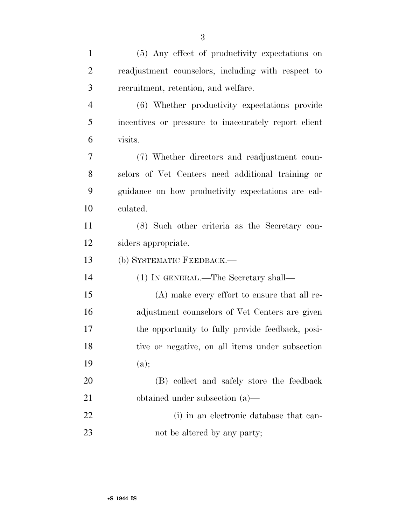| 1              | (5) Any effect of productivity expectations on       |
|----------------|------------------------------------------------------|
| $\overline{2}$ | readjustment counselors, including with respect to   |
| 3              | recruitment, retention, and welfare.                 |
| $\overline{4}$ | (6) Whether productivity expectations provide        |
| 5              | incentives or pressure to inaccurately report client |
| 6              | visits.                                              |
| 7              | (7) Whether directors and readjustment coun-         |
| 8              | selors of Vet Centers need additional training or    |
| 9              | guidance on how productivity expectations are cal-   |
| 10             | culated.                                             |
| 11             | (8) Such other criteria as the Secretary con-        |
| 12             | siders appropriate.                                  |
| 13             | (b) SYSTEMATIC FEEDBACK.-                            |
| 14             | (1) IN GENERAL.—The Secretary shall—                 |
| 15             | (A) make every effort to ensure that all re-         |
| 16             | adjustment counselors of Vet Centers are given       |
| 17             | the opportunity to fully provide feedback, posi-     |
| 18             | tive or negative, on all items under subsection      |
| 19             | (a);                                                 |
| 20             | (B) collect and safely store the feedback            |
| 21             | obtained under subsection $(a)$ —                    |
| 22             | (i) in an electronic database that can-              |
| 23             | not be altered by any party;                         |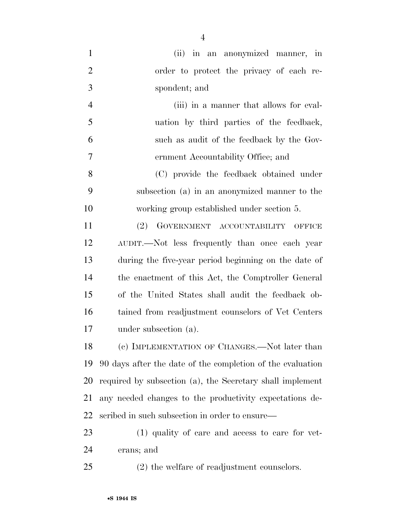| $\mathbf{1}$   | (ii) in an anonymized manner, in                           |
|----------------|------------------------------------------------------------|
| $\overline{2}$ | order to protect the privacy of each re-                   |
| 3              | spondent; and                                              |
| $\overline{4}$ | (iii) in a manner that allows for eval-                    |
| 5              | uation by third parties of the feedback,                   |
| 6              | such as audit of the feedback by the Gov-                  |
| $\tau$         | ernment Accountability Office; and                         |
| 8              | (C) provide the feedback obtained under                    |
| 9              | subsection (a) in an anonymized manner to the              |
| 10             | working group established under section 5.                 |
| 11             | GOVERNMENT ACCOUNTABILITY OFFICE<br>(2)                    |
| 12             | AUDIT.—Not less frequently than once each year             |
| 13             | during the five-year period beginning on the date of       |
| 14             | the enactment of this Act, the Comptroller General         |
| 15             | of the United States shall audit the feedback ob-          |
| 16             | tained from readjustment counselors of Vet Centers         |
| 17             | under subsection (a).                                      |
| 18             | (c) IMPLEMENTATION OF CHANGES.—Not later than              |
| 19             | 90 days after the date of the completion of the evaluation |
| 20             | required by subsection (a), the Secretary shall implement  |
| 21             | any needed changes to the productivity expectations de-    |
| 22             | scribed in such subsection in order to ensure—             |
| 23             | (1) quality of care and access to care for vet-            |
| 24             | erans; and                                                 |
| 25             | (2) the welfare of readjustment counselors.                |

•**S 1944 IS**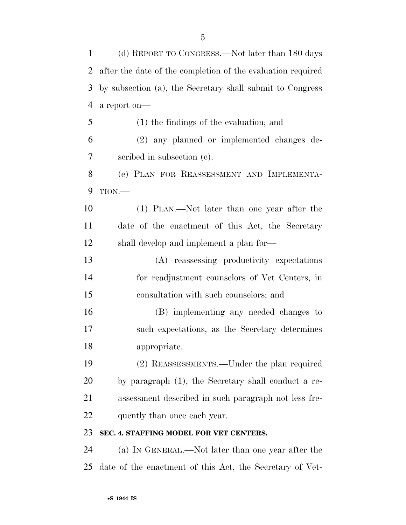(d) REPORT TO CONGRESS.—Not later than 180 days after the date of the completion of the evaluation required by subsection (a), the Secretary shall submit to Congress a report on— (1) the findings of the evaluation; and (2) any planned or implemented changes de- scribed in subsection (c). (e) PLAN FOR REASSESSMENT AND IMPLEMENTA- TION.— (1) PLAN.—Not later than one year after the date of the enactment of this Act, the Secretary shall develop and implement a plan for— (A) reassessing productivity expectations for readjustment counselors of Vet Centers, in consultation with such counselors; and (B) implementing any needed changes to such expectations, as the Secretary determines appropriate. (2) REASSESSMENTS.—Under the plan required by paragraph (1), the Secretary shall conduct a re- assessment described in such paragraph not less fre-22 quently than once each year. **SEC. 4. STAFFING MODEL FOR VET CENTERS.** 

 (a) IN GENERAL.—Not later than one year after the date of the enactment of this Act, the Secretary of Vet-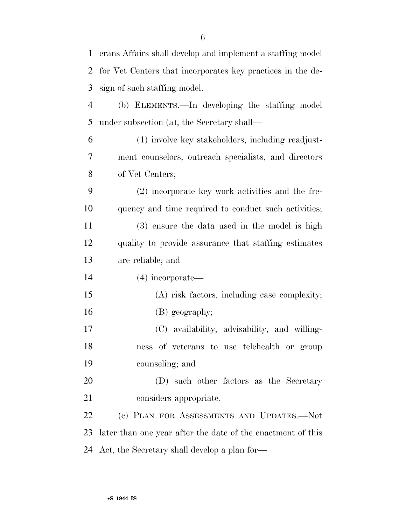| $\mathbf{1}$ | erans Affairs shall develop and implement a staffing model  |
|--------------|-------------------------------------------------------------|
| 2            | for Vet Centers that incorporates key practices in the de-  |
| 3            | sign of such staffing model.                                |
| 4            | (b) ELEMENTS.—In developing the staffing model              |
| 5            | under subsection (a), the Secretary shall—                  |
| 6            | (1) involve key stakeholders, including readjust-           |
| 7            | ment counselors, outreach specialists, and directors        |
| 8            | of Vet Centers;                                             |
| 9            | (2) incorporate key work activities and the fre-            |
| 10           | quency and time required to conduct such activities;        |
| 11           | (3) ensure the data used in the model is high               |
| 12           | quality to provide assurance that staffing estimates        |
| 13           | are reliable; and                                           |
| 14           | $(4)$ incorporate—                                          |
| 15           | (A) risk factors, including case complexity;                |
| 16           | (B) geography;                                              |
| 17           | (C) availability, advisability, and willing-                |
| 18           | ness of veterans to use telehealth or group                 |
| 19           | counseling; and                                             |
| 20           | (D) such other factors as the Secretary                     |
| 21           | considers appropriate.                                      |
| 22           | (c) PLAN FOR ASSESSMENTS AND UPDATES.-Not                   |
| 23           | later than one year after the date of the enactment of this |
| 24           | Act, the Secretary shall develop a plan for—                |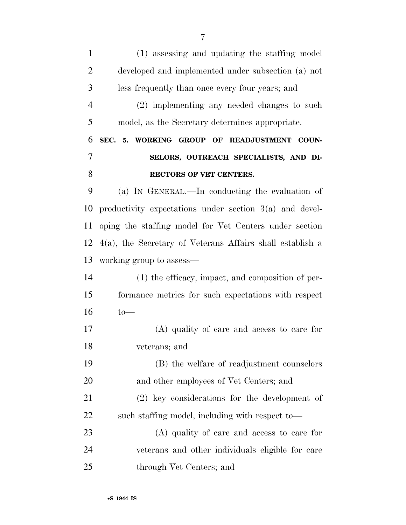(1) assessing and updating the staffing model developed and implemented under subsection (a) not less frequently than once every four years; and (2) implementing any needed changes to such model, as the Secretary determines appropriate. **SEC. 5. WORKING GROUP OF READJUSTMENT COUN- SELORS, OUTREACH SPECIALISTS, AND DI- RECTORS OF VET CENTERS.**  (a) IN GENERAL.—In conducting the evaluation of productivity expectations under section 3(a) and devel- oping the staffing model for Vet Centers under section 4(a), the Secretary of Veterans Affairs shall establish a working group to assess— (1) the efficacy, impact, and composition of per- formance metrics for such expectations with respect to— (A) quality of care and access to care for veterans; and (B) the welfare of readjustment counselors 20 and other employees of Vet Centers; and (2) key considerations for the development of 22 such staffing model, including with respect to— (A) quality of care and access to care for veterans and other individuals eligible for care through Vet Centers; and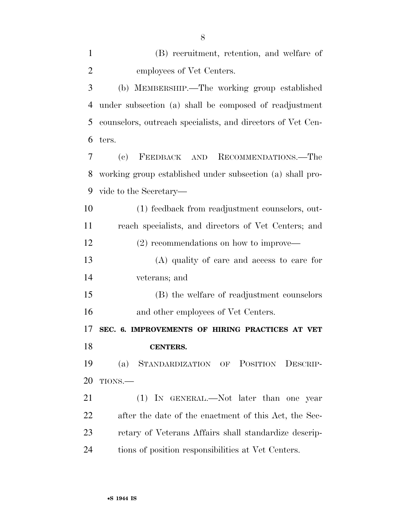| $\mathbf{1}$   | (B) recruitment, retention, and welfare of                  |
|----------------|-------------------------------------------------------------|
| $\overline{2}$ | employees of Vet Centers.                                   |
| 3              | (b) MEMBERSHIP.—The working group established               |
| 4              | under subsection (a) shall be composed of readjustment      |
| 5              | counselors, outreach specialists, and directors of Vet Cen- |
| 6              | ters.                                                       |
| 7              | FEEDBACK AND RECOMMENDATIONS.-The<br>(e)                    |
| 8              | working group established under subsection (a) shall pro-   |
| 9              | vide to the Secretary—                                      |
| 10             | (1) feedback from readjustment counselors, out-             |
| 11             | reach specialists, and directors of Vet Centers; and        |
| 12             | $(2)$ recommendations on how to improve—                    |
| 13             | (A) quality of care and access to care for                  |
| 14             | veterans; and                                               |
| 15             | (B) the welfare of readjustment counselors                  |
| 16             | and other employees of Vet Centers.                         |
| 17             | SEC. 6. IMPROVEMENTS OF HIRING PRACTICES AT VET             |
| 18             | <b>CENTERS.</b>                                             |
| 19             | (a) STANDARDIZATION OF POSITION DESCRIP-                    |
| 20             | TIONS.-                                                     |
| 21             | (1) IN GENERAL.—Not later than one year                     |
| 22             | after the date of the enactment of this Act, the Sec-       |
| 23             | retary of Veterans Affairs shall standardize descrip-       |
| 24             | tions of position responsibilities at Vet Centers.          |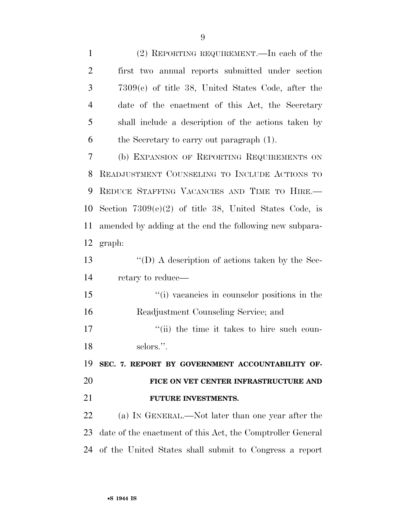(2) REPORTING REQUIREMENT.—In each of the first two annual reports submitted under section 7309(e) of title 38, United States Code, after the date of the enactment of this Act, the Secretary shall include a description of the actions taken by the Secretary to carry out paragraph (1). (b) EXPANSION OF REPORTING REQUIREMENTS ON READJUSTMENT COUNSELING TO INCLUDE ACTIONS TO REDUCE STAFFING VACANCIES AND TIME TO HIRE.— Section 7309(e)(2) of title 38, United States Code, is amended by adding at the end the following new subpara- graph: ''(D) A description of actions taken by the Sec- retary to reduce— ''(i) vacancies in counselor positions in the Readjustment Counseling Service; and  $\frac{1}{10}$  the time it takes to hire such coun-18 selors.". **SEC. 7. REPORT BY GOVERNMENT ACCOUNTABILITY OF- FICE ON VET CENTER INFRASTRUCTURE AND FUTURE INVESTMENTS.**  (a) IN GENERAL.—Not later than one year after the date of the enactment of this Act, the Comptroller General of the United States shall submit to Congress a report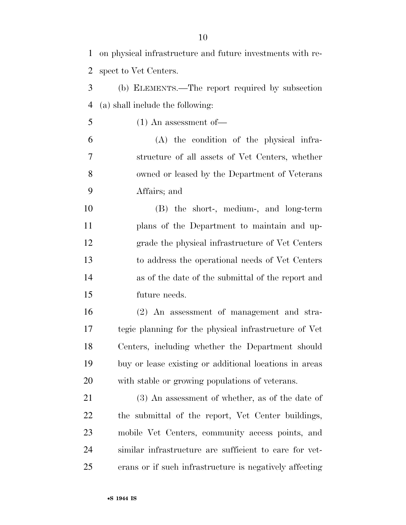| $\mathbf{1}$   | on physical infrastructure and future investments with re- |
|----------------|------------------------------------------------------------|
| $\overline{2}$ | spect to Vet Centers.                                      |
| 3              | (b) ELEMENTS.—The report required by subsection            |
| $\overline{4}$ | (a) shall include the following:                           |
| 5              | $(1)$ An assessment of —                                   |
| 6              | (A) the condition of the physical infra-                   |
| $\overline{7}$ | structure of all assets of Vet Centers, whether            |
| 8              | owned or leased by the Department of Veterans              |
| 9              | Affairs; and                                               |
| 10             | (B) the short-, medium-, and long-term                     |
| 11             | plans of the Department to maintain and up-                |
| 12             | grade the physical infrastructure of Vet Centers           |
| 13             | to address the operational needs of Vet Centers            |
| 14             | as of the date of the submittal of the report and          |
| 15             | future needs.                                              |
| 16             | (2) An assessment of management and stra-                  |
| 17             | tegic planning for the physical infrastructure of Vet      |
| 18             | Centers, including whether the Department should           |
| 19             | buy or lease existing or additional locations in areas     |
| 20             | with stable or growing populations of veterans.            |
| 21             | $(3)$ An assessment of whether, as of the date of          |
| 22             | the submittal of the report, Vet Center buildings,         |
| 23             | mobile Vet Centers, community access points, and           |
| 24             | similar infrastructure are sufficient to care for vet-     |
| 25             | erans or if such infrastructure is negatively affecting    |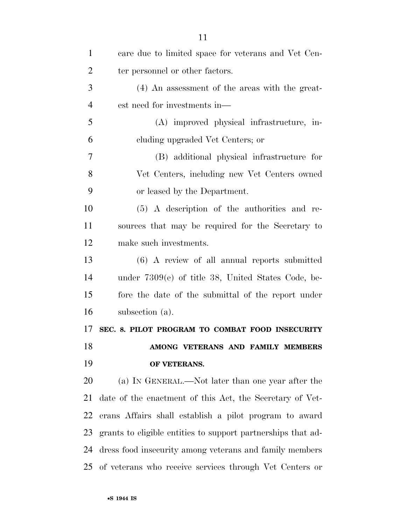| $\mathbf{1}$   | care due to limited space for veterans and Vet Cen-          |
|----------------|--------------------------------------------------------------|
| $\overline{2}$ | ter personnel or other factors.                              |
| 3              | (4) An assessment of the areas with the great-               |
| $\overline{4}$ | est need for investments in—                                 |
| 5              | (A) improved physical infrastructure, in-                    |
| 6              | eluding upgraded Vet Centers; or                             |
| 7              | (B) additional physical infrastructure for                   |
| 8              | Vet Centers, including new Vet Centers owned                 |
| 9              | or leased by the Department.                                 |
| 10             | (5) A description of the authorities and re-                 |
| 11             | sources that may be required for the Secretary to            |
| 12             | make such investments.                                       |
| 13             | $(6)$ A review of all annual reports submitted               |
| 14             | under $7309(e)$ of title 38, United States Code, be-         |
| 15             | fore the date of the submittal of the report under           |
| 16             | subsection (a).                                              |
| 17             | SEC. 8. PILOT PROGRAM TO COMBAT FOOD INSECURITY              |
| 18             | AMONG VETERANS AND FAMILY MEMBERS                            |
| 19             | OF VETERANS.                                                 |
| 20             | (a) IN GENERAL.—Not later than one year after the            |
| 21             | date of the enactment of this Act, the Secretary of Vet-     |
| 22             | erans Affairs shall establish a pilot program to award       |
| 23             | grants to eligible entities to support partnerships that ad- |
| 24             | dress food insecurity among veterans and family members      |
|                | 25 of veterans who receive services through Vet Centers or   |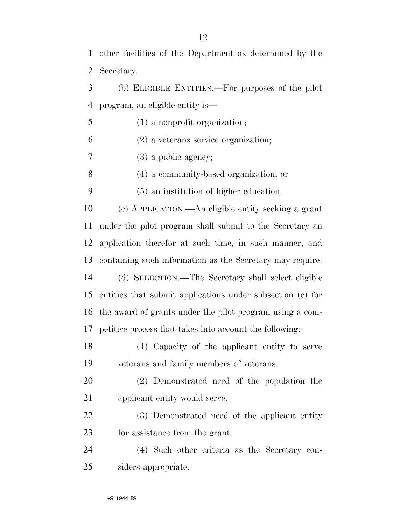other facilities of the Department as determined by the Secretary.

 (b) ELIGIBLE ENTITIES.—For purposes of the pilot program, an eligible entity is—

(1) a nonprofit organization;

(2) a veterans service organization;

(3) a public agency;

(4) a community-based organization; or

(5) an institution of higher education.

 (c) APPLICATION.—An eligible entity seeking a grant under the pilot program shall submit to the Secretary an application therefor at such time, in such manner, and containing such information as the Secretary may require. (d) SELECTION.—The Secretary shall select eligible

 entities that submit applications under subsection (c) for the award of grants under the pilot program using a com-petitive process that takes into account the following:

 (1) Capacity of the applicant entity to serve veterans and family members of veterans.

 (2) Demonstrated need of the population the applicant entity would serve.

 (3) Demonstrated need of the applicant entity for assistance from the grant.

 (4) Such other criteria as the Secretary con-siders appropriate.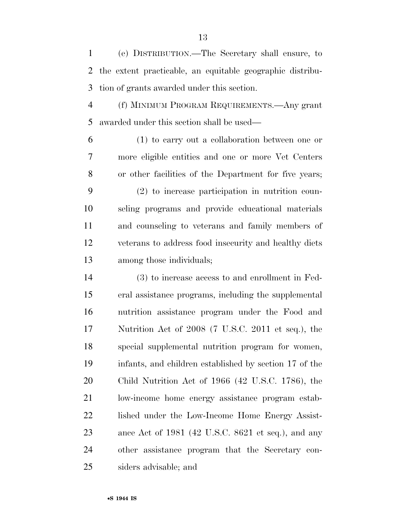(e) DISTRIBUTION.—The Secretary shall ensure, to the extent practicable, an equitable geographic distribu-tion of grants awarded under this section.

 (f) MINIMUM PROGRAM REQUIREMENTS.—Any grant awarded under this section shall be used—

 (1) to carry out a collaboration between one or more eligible entities and one or more Vet Centers or other facilities of the Department for five years; (2) to increase participation in nutrition coun- seling programs and provide educational materials and counseling to veterans and family members of

 veterans to address food insecurity and healthy diets among those individuals;

 (3) to increase access to and enrollment in Fed- eral assistance programs, including the supplemental nutrition assistance program under the Food and Nutrition Act of 2008 (7 U.S.C. 2011 et seq.), the special supplemental nutrition program for women, infants, and children established by section 17 of the Child Nutrition Act of 1966 (42 U.S.C. 1786), the low-income home energy assistance program estab-22 lished under the Low-Income Home Energy Assist- ance Act of 1981 (42 U.S.C. 8621 et seq.), and any other assistance program that the Secretary con-siders advisable; and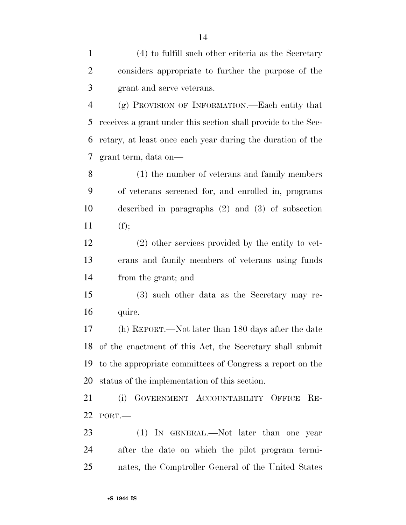(4) to fulfill such other criteria as the Secretary considers appropriate to further the purpose of the grant and serve veterans.

 (g) PROVISION OF INFORMATION.—Each entity that receives a grant under this section shall provide to the Sec- retary, at least once each year during the duration of the grant term, data on—

 (1) the number of veterans and family members of veterans screened for, and enrolled in, programs described in paragraphs (2) and (3) of subsection 11 (f);

 (2) other services provided by the entity to vet- erans and family members of veterans using funds from the grant; and

 (3) such other data as the Secretary may re-quire.

 (h) REPORT.—Not later than 180 days after the date of the enactment of this Act, the Secretary shall submit to the appropriate committees of Congress a report on the status of the implementation of this section.

 (i) GOVERNMENT ACCOUNTABILITY OFFICE RE-PORT.—

23 (1) IN GENERAL.—Not later than one year after the date on which the pilot program termi-nates, the Comptroller General of the United States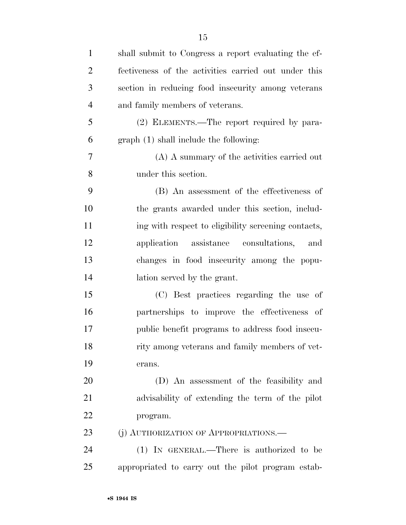| $\mathbf{1}$   | shall submit to Congress a report evaluating the ef- |
|----------------|------------------------------------------------------|
| $\overline{2}$ | fectiveness of the activities carried out under this |
| 3              | section in reducing food insecurity among veterans   |
| $\overline{4}$ | and family members of veterans.                      |
| 5              | (2) ELEMENTS.—The report required by para-           |
| 6              | graph (1) shall include the following:               |
| 7              | (A) A summary of the activities carried out          |
| 8              | under this section.                                  |
| 9              | (B) An assessment of the effectiveness of            |
| 10             | the grants awarded under this section, includ-       |
| 11             | ing with respect to eligibility screening contacts,  |
| 12             | application assistance consultations,<br>and         |
| 13             | changes in food insecurity among the popu-           |
| 14             | lation served by the grant.                          |
| 15             | (C) Best practices regarding the use of              |
| 16             | partnerships to improve the effectiveness of         |
| 17             | public benefit programs to address food insecu-      |
| 18             | rity among veterans and family members of vet-       |
| 19             | erans.                                               |
| 20             | (D) An assessment of the feasibility and             |
| 21             | advisability of extending the term of the pilot      |
| 22             | program.                                             |
| 23             | (j) AUTHORIZATION OF APPROPRIATIONS.—                |
| 24             | (1) IN GENERAL.—There is authorized to be            |
| 25             | appropriated to carry out the pilot program estab-   |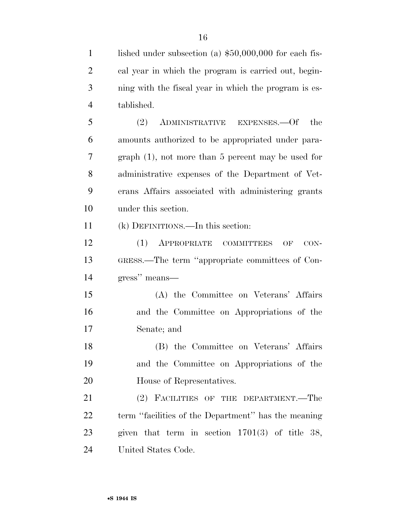1 lished under subsection (a) \$50,000,000 for each fis- cal year in which the program is carried out, begin- ning with the fiscal year in which the program is es- tablished. (2) ADMINISTRATIVE EXPENSES.—Of the amounts authorized to be appropriated under para- graph (1), not more than 5 percent may be used for administrative expenses of the Department of Vet- erans Affairs associated with administering grants under this section. (k) DEFINITIONS.—In this section: (1) APPROPRIATE COMMITTEES OF CON- GRESS.—The term ''appropriate committees of Con- gress'' means— (A) the Committee on Veterans' Affairs and the Committee on Appropriations of the Senate; and (B) the Committee on Veterans' Affairs and the Committee on Appropriations of the House of Representatives. (2) FACILITIES OF THE DEPARTMENT.—The term ''facilities of the Department'' has the meaning given that term in section 1701(3) of title 38,

United States Code.